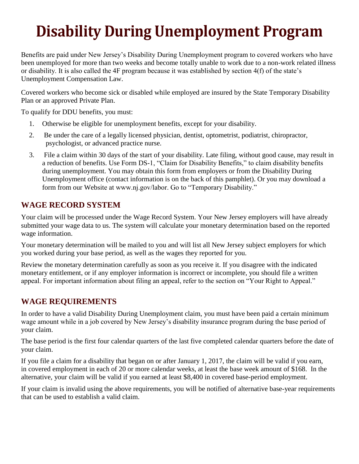# **Disability During Unemployment Program**

Benefits are paid under New Jersey's Disability During Unemployment program to covered workers who have been unemployed for more than two weeks and become totally unable to work due to a non-work related illness or disability. It is also called the 4F program because it was established by section 4(f) of the state's Unemployment Compensation Law.

Covered workers who become sick or disabled while employed are insured by the State Temporary Disability Plan or an approved Private Plan.

To qualify for DDU benefits, you must:

- 1. Otherwise be eligible for unemployment benefits, except for your disability.
- 2. Be under the care of a legally licensed physician, dentist, optometrist, podiatrist, chiropractor, psychologist, or advanced practice nurse.
- 3. File a claim within 30 days of the start of your disability. Late filing, without good cause, may result in a reduction of benefits. Use Form DS-1, "Claim for Disability Benefits," to claim disability benefits during unemployment. You may obtain this form from employers or from the Disability During Unemployment office (contact information is on the back of this pamphlet). Or you may download a form from our Website at www.nj.gov/labor. Go to "Temporary Disability."

# **WAGE RECORD SYSTEM**

Your claim will be processed under the Wage Record System. Your New Jersey employers will have already submitted your wage data to us. The system will calculate your monetary determination based on the reported wage information.

Your monetary determination will be mailed to you and will list all New Jersey subject employers for which you worked during your base period, as well as the wages they reported for you.

Review the monetary determination carefully as soon as you receive it. If you disagree with the indicated monetary entitlement, or if any employer information is incorrect or incomplete, you should file a written appeal. For important information about filing an appeal, refer to the section on "Your Right to Appeal."

# **WAGE REQUIREMENTS**

In order to have a valid Disability During Unemployment claim, you must have been paid a certain minimum wage amount while in a job covered by New Jersey's disability insurance program during the base period of your claim.

The base period is the first four calendar quarters of the last five completed calendar quarters before the date of your claim.

If you file a claim for a disability that began on or after January 1, 2017, the claim will be valid if you earn, in covered employment in each of 20 or more calendar weeks, at least the base week amount of \$168. In the alternative, your claim will be valid if you earned at least \$8,400 in covered base-period employment.

If your claim is invalid using the above requirements, you will be notified of alternative base-year requirements that can be used to establish a valid claim.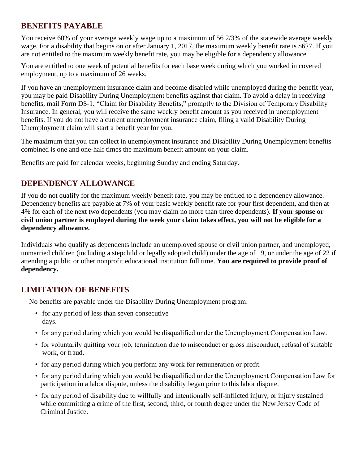## **BENEFITS PAYABLE**

You receive 60% of your average weekly wage up to a maximum of 56 2/3% of the statewide average weekly wage. For a disability that begins on or after January 1, 2017, the maximum weekly benefit rate is \$677. If you are not entitled to the maximum weekly benefit rate, you may be eligible for a dependency allowance.

You are entitled to one week of potential benefits for each base week during which you worked in covered employment, up to a maximum of 26 weeks.

If you have an unemployment insurance claim and become disabled while unemployed during the benefit year, you may be paid Disability During Unemployment benefits against that claim. To avoid a delay in receiving benefits, mail Form DS-1, "Claim for Disability Benefits," promptly to the Division of Temporary Disability Insurance. In general, you will receive the same weekly benefit amount as you received in unemployment benefits. If you do not have a current unemployment insurance claim, filing a valid Disability During Unemployment claim will start a benefit year for you.

The maximum that you can collect in unemployment insurance and Disability During Unemployment benefits combined is one and one-half times the maximum benefit amount on your claim.

Benefits are paid for calendar weeks, beginning Sunday and ending Saturday.

# **DEPENDENCY ALLOWANCE**

If you do not qualify for the maximum weekly benefit rate, you may be entitled to a dependency allowance. Dependency benefits are payable at 7% of your basic weekly benefit rate for your first dependent, and then at 4% for each of the next two dependents (you may claim no more than three dependents). **If your spouse or civil union partner is employed during the week your claim takes effect, you will not be eligible for a dependency allowance.** 

Individuals who qualify as dependents include an unemployed spouse or civil union partner, and unemployed, unmarried children (including a stepchild or legally adopted child) under the age of 19, or under the age of 22 if attending a public or other nonprofit educational institution full time. **You are required to provide proof of dependency.** 

# **LIMITATION OF BENEFITS**

No benefits are payable under the Disability During Unemployment program:

- for any period of less than seven consecutive days.
- for any period during which you would be disqualified under the Unemployment Compensation Law.
- for voluntarily quitting your job, termination due to misconduct or gross misconduct, refusal of suitable work, or fraud.
- for any period during which you perform any work for remuneration or profit.
- for any period during which you would be disqualified under the Unemployment Compensation Law for participation in a labor dispute, unless the disability began prior to this labor dispute.
- for any period of disability due to willfully and intentionally self-inflicted injury, or injury sustained while committing a crime of the first, second, third, or fourth degree under the New Jersey Code of Criminal Justice.